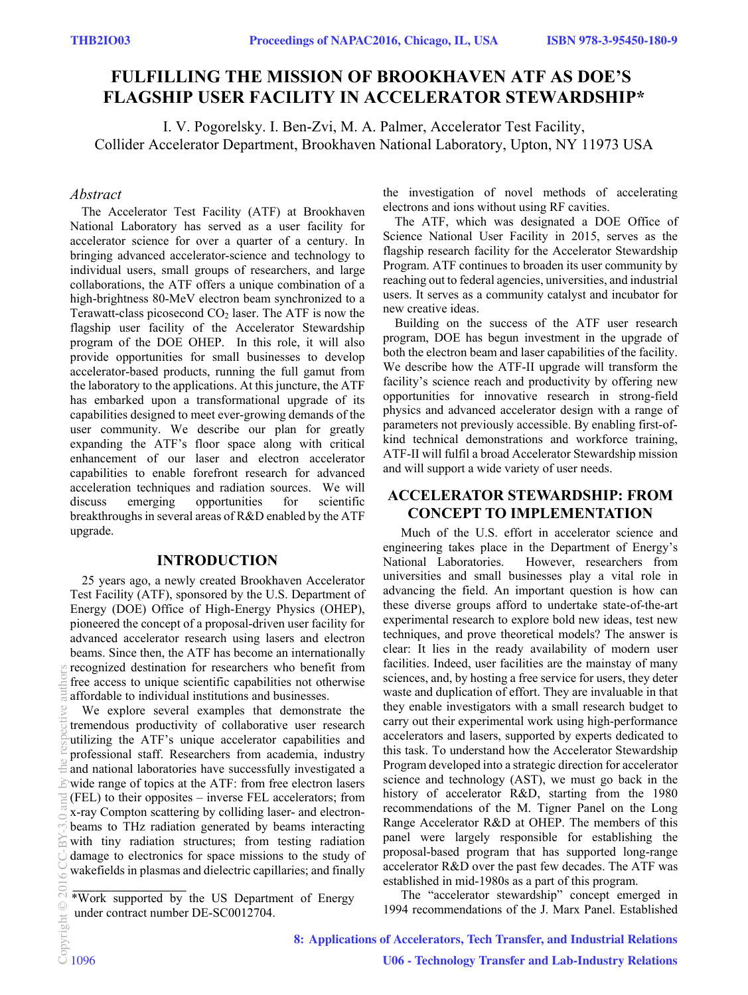# **FULFILLING THE MISSION OF BROOKHAVEN ATF AS DOE'S FLAGSHIP USER FACILITY IN ACCELERATOR STEWARDSHIP\***

I. V. Pogorelsky. I. Ben-Zvi, M. A. Palmer, Accelerator Test Facility, Collider Accelerator Department, Brookhaven National Laboratory, Upton, NY 11973 USA

### *Abstract*

The Accelerator Test Facility (ATF) at Brookhaven National Laboratory has served as a user facility for accelerator science for over a quarter of a century. In bringing advanced accelerator-science and technology to individual users, small groups of researchers, and large collaborations, the ATF offers a unique combination of a high-brightness 80-MeV electron beam synchronized to a Terawatt-class picosecond  $CO<sub>2</sub>$  laser. The ATF is now the flagship user facility of the Accelerator Stewardship program of the DOE OHEP. In this role, it will also provide opportunities for small businesses to develop accelerator-based products, running the full gamut from the laboratory to the applications. At this juncture, the ATF has embarked upon a transformational upgrade of its capabilities designed to meet ever-growing demands of the user community. We describe our plan for greatly expanding the ATF's floor space along with critical enhancement of our laser and electron accelerator capabilities to enable forefront research for advanced acceleration techniques and radiation sources. We will discuss emerging opportunities for scientific breakthroughs in several areas of R&D enabled by the ATF upgrade.

### **INTRODUCTION**

25 years ago, a newly created Brookhaven Accelerator Test Facility (ATF), sponsored by the U.S. Department of Energy (DOE) Office of High-Energy Physics (OHEP), pioneered the concept of a proposal-driven user facility for advanced accelerator research using lasers and electron beams. Since then, the ATF has become an internationally recognized destination for researchers who benefit from free access to unique scientific capabilities not otherwise affordable to individual institutions and businesses.

We explore several examples that demonstrate the tremendous productivity of collaborative user research utilizing the ATF's unique accelerator capabilities and professional staff. Researchers from academia, industry and national laboratories have successfully investigated a wide range of topics at the ATF: from free electron lasers (FEL) to their opposites – inverse FEL accelerators; from x-ray Compton scattering by colliding laser- and electronbeams to THz radiation generated by beams interacting with tiny radiation structures; from testing radiation damage to electronics for space missions to the study of wakefields in plasmas and dielectric capillaries; and finally

\*Work supported by the US Department of Energy under contract number DE-SC0012704.  $\overline{\phantom{a}}$  , where  $\overline{\phantom{a}}$ 

the investigation of novel methods of accelerating electrons and ions without using RF cavities.

The ATF, which was designated a DOE Office of Science National User Facility in 2015, serves as the flagship research facility for the Accelerator Stewardship Program. ATF continues to broaden its user community by reaching out to federal agencies, universities, and industrial users. It serves as a community catalyst and incubator for new creative ideas.

Building on the success of the ATF user research program, DOE has begun investment in the upgrade of both the electron beam and laser capabilities of the facility. We describe how the ATF-II upgrade will transform the facility's science reach and productivity by offering new opportunities for innovative research in strong-field physics and advanced accelerator design with a range of parameters not previously accessible. By enabling first-ofkind technical demonstrations and workforce training, ATF-II will fulfil a broad Accelerator Stewardship mission and will support a wide variety of user needs.

### **ACCELERATOR STEWARDSHIP: FROM CONCEPT TO IMPLEMENTATION**

Much of the U.S. effort in accelerator science and engineering takes place in the Department of Energy's National Laboratories. However, researchers from universities and small businesses play a vital role in advancing the field. An important question is how can these diverse groups afford to undertake state-of-the-art experimental research to explore bold new ideas, test new techniques, and prove theoretical models? The answer is clear: It lies in the ready availability of modern user facilities. Indeed, user facilities are the mainstay of many sciences, and, by hosting a free service for users, they deter waste and duplication of effort. They are invaluable in that they enable investigators with a small research budget to carry out their experimental work using high-performance accelerators and lasers, supported by experts dedicated to this task. To understand how the Accelerator Stewardship Program developed into a strategic direction for accelerator science and technology (AST), we must go back in the history of accelerator R&D, starting from the 1980 recommendations of the M. Tigner Panel on the Long Range Accelerator R&D at OHEP. The members of this panel were largely responsible for establishing the proposal-based program that has supported long-range accelerator R&D over the past few decades. The ATF was established in mid-1980s as a part of this program.

The "accelerator stewardship" concept emerged in 1994 recommendations of the J. Marx Panel. Established

**8: Applications of Accelerators, Tech Transfer, and Industrial Relations**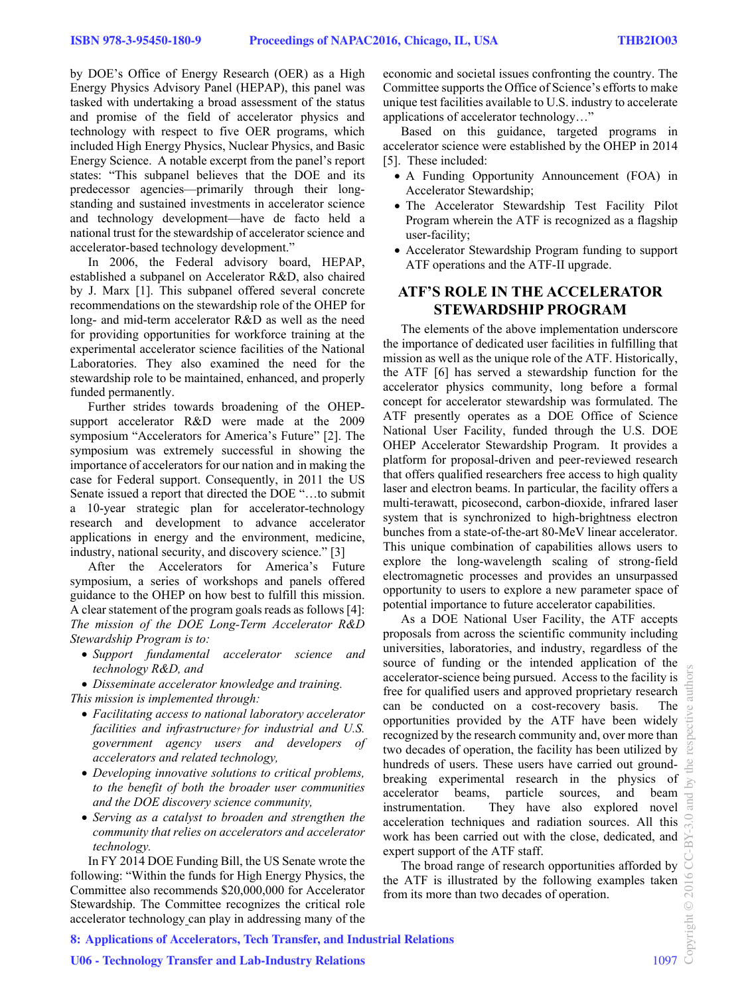by DOE's Office of Energy Research (OER) as a High Energy Physics Advisory Panel (HEPAP), this panel was tasked with undertaking a broad assessment of the status and promise of the field of accelerator physics and technology with respect to five OER programs, which included High Energy Physics, Nuclear Physics, and Basic Energy Science. A notable excerpt from the panel's report states: "This subpanel believes that the DOE and its predecessor agencies—primarily through their longstanding and sustained investments in accelerator science and technology development—have de facto held a national trust for the stewardship of accelerator science and accelerator-based technology development."

In 2006, the Federal advisory board, HEPAP, established a subpanel on Accelerator R&D, also chaired by J. Marx [1]. This subpanel offered several concrete recommendations on the stewardship role of the OHEP for long- and mid-term accelerator R&D as well as the need for providing opportunities for workforce training at the experimental accelerator science facilities of the National Laboratories. They also examined the need for the stewardship role to be maintained, enhanced, and properly funded permanently.

Further strides towards broadening of the OHEPsupport accelerator R&D were made at the 2009 symposium "Accelerators for America's Future" [2]. The symposium was extremely successful in showing the importance of accelerators for our nation and in making the case for Federal support. Consequently, in 2011 the US Senate issued a report that directed the DOE "…to submit a 10-year strategic plan for accelerator-technology research and development to advance accelerator applications in energy and the environment, medicine, industry, national security, and discovery science." [3]

After the Accelerators for America's Future symposium, a series of workshops and panels offered guidance to the OHEP on how best to fulfill this mission. A clear statement of the program goals reads as follows [4]: *The mission of the DOE Long-Term Accelerator R&D Stewardship Program is to:* 

 *Support fundamental accelerator science and technology R&D, and* 

*Disseminate accelerator knowledge and training.* 

- *This mission is implemented through:* 
	- *Facilitating access to national laboratory accelerator facilities and infrastructure† for industrial and U.S. government agency users and developers of accelerators and related technology,*
	- *Developing innovative solutions to critical problems, to the benefit of both the broader user communities and the DOE discovery science community,*
	- *Serving as a catalyst to broaden and strengthen the community that relies on accelerators and accelerator technology.*

In FY 2014 DOE Funding Bill, the US Senate wrote the following: "Within the funds for High Energy Physics, the Committee also recommends \$20,000,000 for Accelerator Stewardship. The Committee recognizes the critical role accelerator technology can play in addressing many of the economic and societal issues confronting the country. The Committee supports the Office of Science's efforts to make unique test facilities available to U.S. industry to accelerate applications of accelerator technology…"

Based on this guidance, targeted programs in accelerator science were established by the OHEP in 2014 [5]. These included:

- A Funding Opportunity Announcement (FOA) in Accelerator Stewardship;
- The Accelerator Stewardship Test Facility Pilot Program wherein the ATF is recognized as a flagship user-facility;
- Accelerator Stewardship Program funding to support ATF operations and the ATF-II upgrade.

## **ATF'S ROLE IN THE ACCELERATOR STEWARDSHIP PROGRAM**

The elements of the above implementation underscore the importance of dedicated user facilities in fulfilling that mission as well as the unique role of the ATF. Historically, the ATF [6] has served a stewardship function for the accelerator physics community, long before a formal concept for accelerator stewardship was formulated. The ATF presently operates as a DOE Office of Science National User Facility, funded through the U.S. DOE OHEP Accelerator Stewardship Program. It provides a platform for proposal-driven and peer-reviewed research that offers qualified researchers free access to high quality laser and electron beams. In particular, the facility offers a multi-terawatt, picosecond, carbon-dioxide, infrared laser system that is synchronized to high-brightness electron bunches from a state-of-the-art 80-MeV linear accelerator. This unique combination of capabilities allows users to explore the long-wavelength scaling of strong-field electromagnetic processes and provides an unsurpassed opportunity to users to explore a new parameter space of potential importance to future accelerator capabilities.

As a DOE National User Facility, the ATF accepts proposals from across the scientific community including universities, laboratories, and industry, regardless of the source of funding or the intended application of the accelerator-science being pursued. Access to the facility is free for qualified users and approved proprietary research can be conducted on a cost-recovery basis. The opportunities provided by the ATF have been widely recognized by the research community and, over more than two decades of operation, the facility has been utilized by hundreds of users. These users have carried out groundbreaking experimental research in the physics of accelerator beams, particle sources, and beam instrumentation. They have also explored novel acceleration techniques and radiation sources. All this work has been carried out with the close, dedicated, and expert support of the ATF staff.

The broad range of research opportunities afforded by the ATF is illustrated by the following examples taken from its more than two decades of operation.

**8: Applications of Accelerators, Tech Transfer, and Industrial Relations**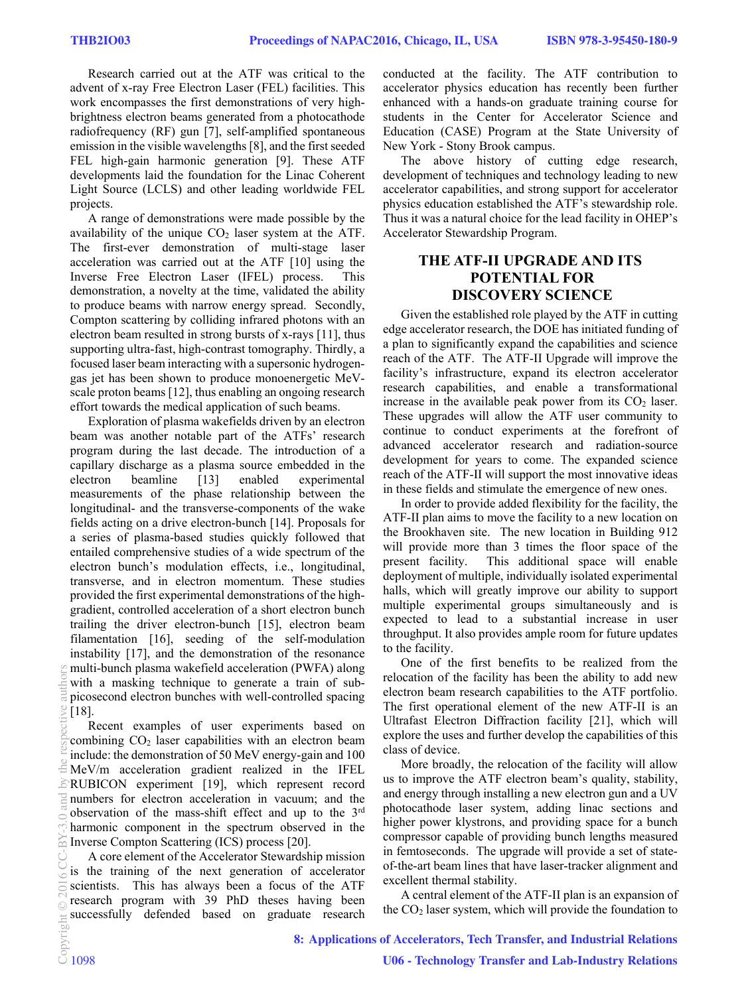Research carried out at the ATF was critical to the advent of x-ray Free Electron Laser (FEL) facilities. This work encompasses the first demonstrations of very highbrightness electron beams generated from a photocathode radiofrequency (RF) gun [7], self-amplified spontaneous emission in the visible wavelengths [8], and the first seeded FEL high-gain harmonic generation [9]. These ATF developments laid the foundation for the Linac Coherent Light Source (LCLS) and other leading worldwide FEL projects.

A range of demonstrations were made possible by the availability of the unique  $CO<sub>2</sub>$  laser system at the ATF. The first-ever demonstration of multi-stage laser acceleration was carried out at the ATF [10] using the Inverse Free Electron Laser (IFEL) process. This demonstration, a novelty at the time, validated the ability to produce beams with narrow energy spread. Secondly, Compton scattering by colliding infrared photons with an electron beam resulted in strong bursts of x-rays [11], thus supporting ultra-fast, high-contrast tomography. Thirdly, a focused laser beam interacting with a supersonic hydrogengas jet has been shown to produce monoenergetic MeVscale proton beams [12], thus enabling an ongoing research effort towards the medical application of such beams.

Exploration of plasma wakefields driven by an electron beam was another notable part of the ATFs' research program during the last decade. The introduction of a capillary discharge as a plasma source embedded in the electron beamline [13] enabled experimental measurements of the phase relationship between the longitudinal- and the transverse-components of the wake fields acting on a drive electron-bunch [14]. Proposals for a series of plasma-based studies quickly followed that entailed comprehensive studies of a wide spectrum of the electron bunch's modulation effects, i.e., longitudinal, transverse, and in electron momentum. These studies provided the first experimental demonstrations of the highgradient, controlled acceleration of a short electron bunch trailing the driver electron-bunch [15], electron beam filamentation [16], seeding of the self-modulation instability [17], and the demonstration of the resonance multi-bunch plasma wakefield acceleration (PWFA) along with a masking technique to generate a train of subpicosecond electron bunches with well-controlled spacing [18].

Recent examples of user experiments based on combining  $CO<sub>2</sub>$  laser capabilities with an electron beam include: the demonstration of 50 MeV energy-gain and 100 MeV/m acceleration gradient realized in the IFEL RUBICON experiment [19], which represent record numbers for electron acceleration in vacuum; and the observation of the mass-shift effect and up to the 3rd harmonic component in the spectrum observed in the Inverse Compton Scattering (ICS) process [20].

A core element of the Accelerator Stewardship mission is the training of the next generation of accelerator scientists. This has always been a focus of the ATF research program with 39 PhD theses having been successfully defended based on graduate research conducted at the facility. The ATF contribution to accelerator physics education has recently been further enhanced with a hands-on graduate training course for students in the Center for Accelerator Science and Education (CASE) Program at the State University of New York - Stony Brook campus.

The above history of cutting edge research, development of techniques and technology leading to new accelerator capabilities, and strong support for accelerator physics education established the ATF's stewardship role. Thus it was a natural choice for the lead facility in OHEP's Accelerator Stewardship Program.

# **THE ATF-II UPGRADE AND ITS POTENTIAL FOR DISCOVERY SCIENCE**

Given the established role played by the ATF in cutting edge accelerator research, the DOE has initiated funding of a plan to significantly expand the capabilities and science reach of the ATF. The ATF-II Upgrade will improve the facility's infrastructure, expand its electron accelerator research capabilities, and enable a transformational increase in the available peak power from its  $CO<sub>2</sub>$  laser. These upgrades will allow the ATF user community to continue to conduct experiments at the forefront of advanced accelerator research and radiation-source development for years to come. The expanded science reach of the ATF-II will support the most innovative ideas in these fields and stimulate the emergence of new ones.

In order to provide added flexibility for the facility, the ATF-II plan aims to move the facility to a new location on the Brookhaven site. The new location in Building 912 will provide more than 3 times the floor space of the present facility. This additional space will enable deployment of multiple, individually isolated experimental halls, which will greatly improve our ability to support multiple experimental groups simultaneously and is expected to lead to a substantial increase in user throughput. It also provides ample room for future updates to the facility.

One of the first benefits to be realized from the relocation of the facility has been the ability to add new electron beam research capabilities to the ATF portfolio. The first operational element of the new ATF-II is an Ultrafast Electron Diffraction facility [21], which will explore the uses and further develop the capabilities of this class of device.

More broadly, the relocation of the facility will allow us to improve the ATF electron beam's quality, stability, and energy through installing a new electron gun and a UV photocathode laser system, adding linac sections and higher power klystrons, and providing space for a bunch compressor capable of providing bunch lengths measured in femtoseconds. The upgrade will provide a set of stateof-the-art beam lines that have laser-tracker alignment and excellent thermal stability.

A central element of the ATF-II plan is an expansion of the  $CO<sub>2</sub>$  laser system, which will provide the foundation to

**8: Applications of Accelerators, Tech Transfer, and Industrial Relations**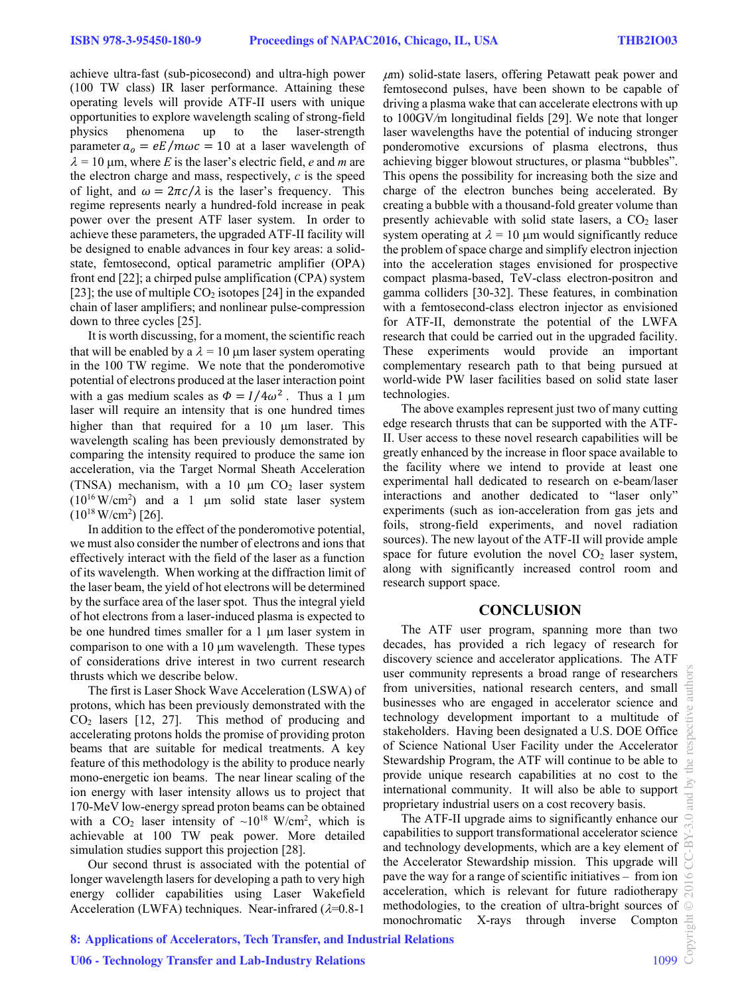achieve ultra-fast (sub-picosecond) and ultra-high power (100 TW class) IR laser performance. Attaining these operating levels will provide ATF-II users with unique opportunities to explore wavelength scaling of strong-field physics phenomena up to the laser-strength parameter  $a_0 = eE/m\omega c = 10$  at a laser wavelength of  $\lambda = 10$  µm, where *E* is the laser's electric field, *e* and *m* are the electron charge and mass, respectively, *c* is the speed of light, and  $\omega = 2\pi c/\lambda$  is the laser's frequency. This regime represents nearly a hundred-fold increase in peak power over the present ATF laser system. In order to achieve these parameters, the upgraded ATF-II facility will be designed to enable advances in four key areas: a solidstate, femtosecond, optical parametric amplifier (OPA) front end [22]; a chirped pulse amplification (CPA) system [23]; the use of multiple  $CO<sub>2</sub>$  isotopes [24] in the expanded chain of laser amplifiers; and nonlinear pulse-compression down to three cycles [25].

It is worth discussing, for a moment, the scientific reach that will be enabled by a  $\lambda = 10 \mu m$  laser system operating in the 100 TW regime. We note that the ponderomotive potential of electrons produced at the laser interaction point with a gas medium scales as  $\Phi = I/4\omega^2$ . Thus a 1 µm laser will require an intensity that is one hundred times higher than that required for a  $10 \mu m$  laser. This wavelength scaling has been previously demonstrated by comparing the intensity required to produce the same ion acceleration, via the Target Normal Sheath Acceleration (TNSA) mechanism, with a 10  $\mu$ m CO<sub>2</sub> laser system  $(10^{16} \text{W/cm}^2)$  and a 1  $\mu$ m solid state laser system  $(10^{18} \text{ W/cm}^2)$  [26].

In addition to the effect of the ponderomotive potential, we must also consider the number of electrons and ions that effectively interact with the field of the laser as a function of its wavelength. When working at the diffraction limit of the laser beam, the yield of hot electrons will be determined by the surface area of the laser spot. Thus the integral yield of hot electrons from a laser-induced plasma is expected to be one hundred times smaller for a  $1 \mu m$  laser system in comparison to one with a 10 um wavelength. These types of considerations drive interest in two current research thrusts which we describe below.

The first is Laser Shock Wave Acceleration (LSWA) of protons, which has been previously demonstrated with the CO2 lasers [12, 27]. This method of producing and accelerating protons holds the promise of providing proton beams that are suitable for medical treatments. A key feature of this methodology is the ability to produce nearly mono-energetic ion beams. The near linear scaling of the ion energy with laser intensity allows us to project that 170-MeV low-energy spread proton beams can be obtained with a  $CO_2$  laser intensity of  $\sim 10^{18}$  W/cm<sup>2</sup>, which is achievable at 100 TW peak power. More detailed simulation studies support this projection [28].

Our second thrust is associated with the potential of longer wavelength lasers for developing a path to very high energy collider capabilities using Laser Wakefield Acceleration (LWFA) techniques. Near-infrared  $(\lambda=0.8-1)$ 

 $\mu$ m) solid-state lasers, offering Petawatt peak power and femtosecond pulses, have been shown to be capable of driving a plasma wake that can accelerate electrons with up to 100GV*/*m longitudinal fields [29]. We note that longer laser wavelengths have the potential of inducing stronger ponderomotive excursions of plasma electrons, thus achieving bigger blowout structures, or plasma "bubbles". This opens the possibility for increasing both the size and charge of the electron bunches being accelerated. By creating a bubble with a thousand-fold greater volume than presently achievable with solid state lasers, a  $CO<sub>2</sub>$  laser system operating at  $\lambda = 10$  µm would significantly reduce the problem of space charge and simplify electron injection into the acceleration stages envisioned for prospective compact plasma-based, TeV-class electron-positron and gamma colliders [30-32]. These features, in combination with a femtosecond-class electron injector as envisioned for ATF-II, demonstrate the potential of the LWFA research that could be carried out in the upgraded facility. These experiments would provide an important complementary research path to that being pursued at world-wide PW laser facilities based on solid state laser technologies.

The above examples represent just two of many cutting edge research thrusts that can be supported with the ATF-II. User access to these novel research capabilities will be greatly enhanced by the increase in floor space available to the facility where we intend to provide at least one experimental hall dedicated to research on e-beam/laser interactions and another dedicated to "laser only" experiments (such as ion-acceleration from gas jets and foils, strong-field experiments, and novel radiation sources). The new layout of the ATF-II will provide ample space for future evolution the novel  $CO<sub>2</sub>$  laser system, along with significantly increased control room and research support space.

#### **CONCLUSION**

The ATF user program, spanning more than two decades, has provided a rich legacy of research for discovery science and accelerator applications. The ATF user community represents a broad range of researchers from universities, national research centers, and small businesses who are engaged in accelerator science and technology development important to a multitude of stakeholders. Having been designated a U.S. DOE Office of Science National User Facility under the Accelerator Stewardship Program, the ATF will continue to be able to provide unique research capabilities at no cost to the international community. It will also be able to support proprietary industrial users on a cost recovery basis.

The ATF-II upgrade aims to significantly enhance our capabilities to support transformational accelerator science and technology developments, which are a key element of the Accelerator Stewardship mission. This upgrade will pave the way for a range of scientific initiatives – from ion acceleration, which is relevant for future radiotherapy methodologies, to the creation of ultra-bright sources of monochromatic X-rays through inverse Compton